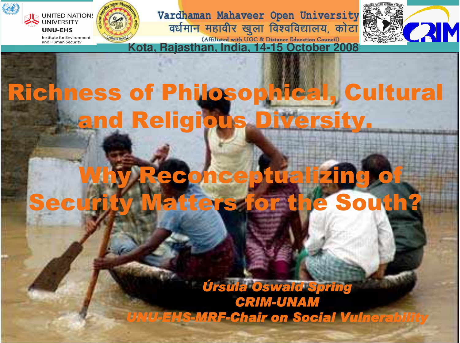

#### **Richness of Philosophical, Cultural** and Religious Di **Diversi** <u>ty.</u>

#### $\rm V$ A $\rm V$ 200 ng of Securi He or the South?

Úrsula Oswald Spring **CRIM-UNAM UNU-EHS-MRF-Chair on Social Vulnerability**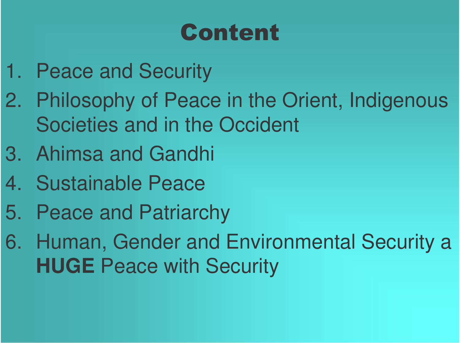## **Content**

- 1. Peace and Security
- 2. Philosophy of Peace in the Orient, Indigenous Societies and in the Occident
- 3. Ahimsa and Gandhi
- 4. Sustainable Peace
- 5. Peace and Patriarchy
- 6. Human, Gender and Environmental Security <sup>a</sup> **HUGE** Peace with Security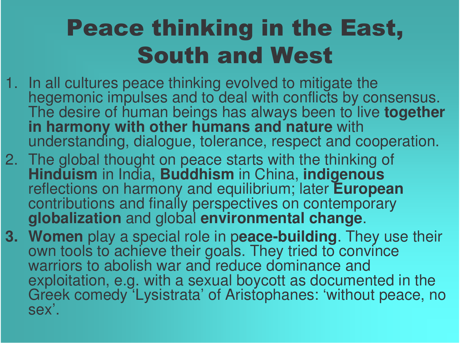## **Peace thinking in the East, South and West**

- 1. In all cultures peace thinking evolved to mitigate the hegemonic impulses and to deal with conflicts by consensus. The desire of human beings has always been to live together **in harmony with other humans and nature** with understanding, dialogue, tolerance, respect and cooperation.
- 2. The global thought on peace starts with the thinking of **Hinduism** in India, Buddhism in China, indigenous reflections on harmony and equilibrium; later European contributions and finally perspectives on contemporary **globalization** and global environmental change.
- **3. Women** play a special role in peace-building. They use their own tools to achieve their goals. They tried to convince warriors to abolish war and reduce dominance and exploitation, e.g. with a sexual boycott as documented in the Greek comedy 'Lysistrata' of Aristophanes: 'without peace, no s ex'.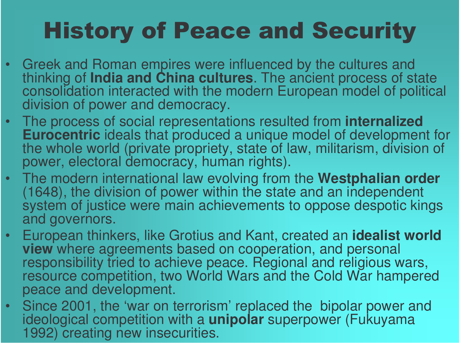## **History of Peace and Security**

- •Greek and Roman empires were influenced by the cultures and thinking of India and China cultures. The ancient process of state consolidation interacted with the modern European model of political division of power and democracy.
- The process of social representations resulted from **internalized Eurocentric** ideals that produced a unique model of development for the whole world (private propriety, state of law, militarism, division of power, electoral democracy, human rights).
- The modern international law evolving from the Westphalian order (1648), the division of power within the state and an independent system of justice were main achievements to oppose despotic kings and governors.
- •European thinkers, like Grotius and Kant, created an **idealist world view** where agreements based on cooperation, and personal responsibility tried to achieve peace. Regional and religious wars, resource competition, two World Wars and the Cold War hampered peace and development.
- •Since 2001, the 'war on terrorism' replaced the bipolar power and ideological competition with a **unipolar** superpower (Fukuyama 1992) creating new insecurities.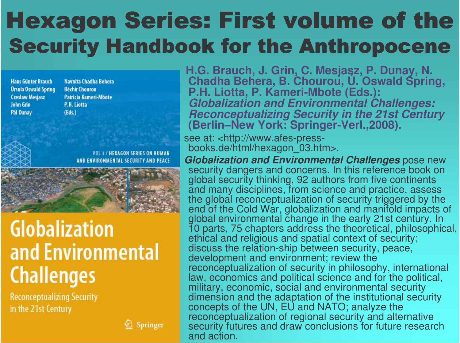## Hexagon Series: First volume of the **Security Handbook for the Anthropocene**

**Hans Günter Brauch Ursula Oswald Spring Czesław Mesjasz** John Grin **Pál Dunav** 

Navnita Chadha Behera **Béchir Chourou** Patricia Kameri-Mbote P.H. Liotta  $(Eds.)$ 

> HEXAGON SERIES ON HUMAN **ENTAL SECURITY AND PEACE**



### **Globalization** and Environmental **Challenges**

**Reconceptualizing Security** in the 21st Century



**H.G. B r a u c h, J. G rin, C. M e sja s z, P. D u n a 1.G. Brauch, J. Grin, C. Mesjasz, P. Dunay, N.<br>Chadha Behera, B. Chourou, U. Oswald Sprir** Chadha Behera, B. Chourou, U. Oswald Spring, **P.H. Lio t t a, P. K a m e ri-M b o t e ( E d s.): Globalization and Environmental Challenges: Reconceptualizing Security in the 21st Century** (Berlin–New York: Springer-Verl.,2008).

see at: <http://www.afes-pressbooks.de/html/hexagon\_03.htm>.

*Globalization and Environmental Challenges* pose new security dangers and concerns. In this reference book on global security thinking, 92 authors from five continents and many disciplines, from science and practice, assess the global reconceptualization of security triggered by the end of the Cold War, globalization and manifold impacts of global environmental change in the early 21st century. In 10 parts, 75 chapters address the theoretical, philosophical, ethic al a n d religio u s a n d s p atial c o nte xt of s e c urity; discuss the relation-ship between security, peace, development and environment; review the reconceptualization of security in philosophy, international law, economics and political science and for the political, military, economic, social and environmental security dimension and the adaptation of the institutional security concepts of the UN, EU and NATO; analyze the reconceptualization of regional security and alternative security futures and draw conclusions for future research and action.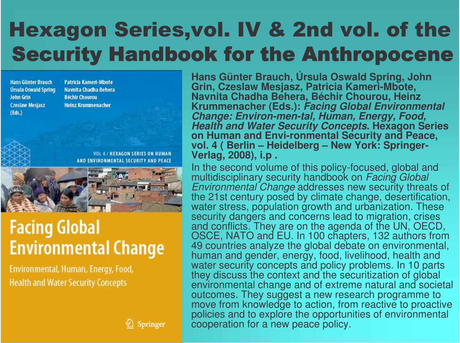### Hexagon Series,vol. IV & 2nd vol. of the **Security Handbook for the Anthropocene**

**Hans Günter Brauch Ursula Oswald Spring John Grin** Czesław Mesjasz  $(Eds.)$ 

**Patricia Kameri-Mbote** Navnita Chadha Behera **Béchir Chourou Heinz Krummenacher** 

> VOL 4 / HEXAGON SERIES ON HUMAN AND ENVIRONMENTAL SECURITY AND PEACE



#### **Facing Global Environmental Change**

Environmental, Human, Energy, Food, **Health and Water Security Concepts** 

Hans Günter Brauch, Úrsula Oswald Spring, John<br>Grin, Czeslaw Mesjasz, Patricia Kameri-Mbote, Navnita Chadha Behera, Béchir Chourou, Heinz Krummenacher (Eds.): Facing Global Environmental Change: Environ-men-tal, Human, Energy, Food, Health and Water Security Concepts. Hexagon Series on Human and Envi-ronmental Security and Peace, vol. 4(Berlin – Heidelberg – New York: Springer-**V e rla g, 2 0 0 8), i.p .**

In the second volume of this policy-focused, global and multidisciplinary security handbook on Facing Global *Environmental Change* addresses new security threats of the 21st century posed by climate change, desertification, water stress, population growth and urbanization. These security dangers and concerns lead to migration, crises and conflicts. They are on the agenda of the UN, OECD, OSCE, NATO and EU. In 100 chapters, 132 authors from 49 countries analyze the global debate on environmental, human and gender, energy, food, livelihood, health and water security concepts and policy problems. In 10 parts they discuss the context and the securitization of global environmental change and of extreme natural and societal outcomes. They suggest a new research programme to move from knowledge to action, from reactive to proactive policies and to explore the opportunities of environmental cooperation for a new peace policy.

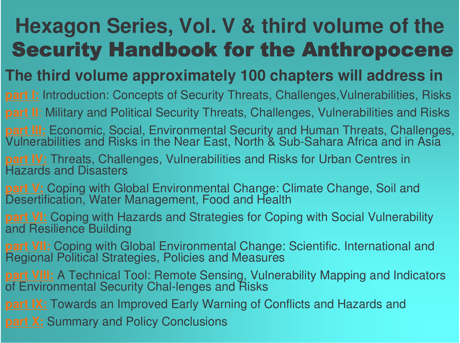## **Hexagon Series, Vol. V & third volume of the** Security Handbook for the Anthropocene

#### **The third volume approximately 100 chapters will address in**

**part I:** Introduction: Concepts of Security Threats, Challenges, Vulnerabilities, Risks

**part II**: Military and Political Security Threats, Challenges, Vulnerabilities and Risks

**part III:** Economic, Social, Environmental Security and Human Threats, Challenges,<br>Vulnerabilities and Risks in the Near East, North & Sub-Sahara Africa and in Asia

**part IV:** Threats, Challenges, Vulnerabilities and Risks for Urban Centres in s and Disasters

**part V:** Coping with Global Environmental Change: Climate Change, Soil and Desertification, Water Management, Food and Health

**part VI:** Coping with Hazards and Strategies for Coping with Social Vulnerability and Resilience Building

**part VII:** Coping with Global Environmental Change: Scientific. International and Regional Political Strategies, Policies and Measures

**part VIII:** A Technical Tool: Remote Sensing, Vulnerability Mapping and Indicators of Environmental Security Chal-lenges and Risks

**part IX:** Towards an Improved Early Warning of Conflicts and Hazards and

**part X:** Summary and Policy Conclusions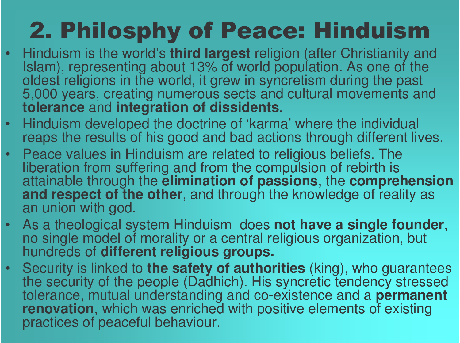# 2. Philosphy of Peace: Hinduism

- •Hinduism is the world's **third largest** religion (after Christianity and<br>Islam), representing about 13% of world population. As one of the oldest religions in the world, it grew in syncretism during the past 5,000 years, creating numerous sects and cultural movements and **tolerance** and integration of dissidents.
- •Hinduism developed the doctrine of 'karma' where the individual reaps the results of his good and bad actions through different lives.
- •Peace values in Hinduism are related to religious beliefs. The liberation from suffering and from the compulsion of rebirth is attainable through the **elimination of passions**, the **comprehension** and respect of the other, and through the knowledge of reality as an union with god.
- •As a theological system Hinduism does not have a single founder, no single model of morality or a central religious organization, but hundreds of **different religious groups.**
- •Security is linked to the safety of authorities (king), who guarantees the security of the people (Dadhich). His syncretic tendency stressed tolerance, mutual understanding and co-existence and a **permanent renovation, which was enriched with positive elements of existing** practices of peaceful behaviour.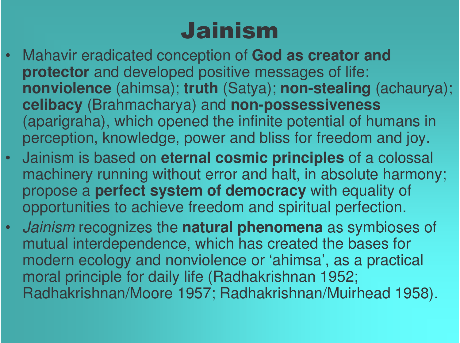## Jainism

- •Mahavir eradicated conception of God as creator and **protector** and developed positive messages of life: nonviolence (ahimsa); truth (Satya); non-stealing (achaurya); celibacy (Brahmacharya) and non-possessiveness (aparigraha), which opened the infinite potential of humans in perception, knowledge, power and bliss for freedom and joy.
- •Jainism is based on eternal cosmic principles of a colossal machinery running without error and halt, in absolute harmony; propose a **perfect system of democracy** with equality of opportunities to achieve freedom and spiritual perfection.
- •Jainism recognizes the natural phenomena as symbioses of mutual interdependence, which has created the bases for modern ecology and nonviolence or 'ahimsa', as a practical moral principle for daily life (Radhakrishnan 1952; Radhakrishnan/Moore 1957; Radhakrishnan/Muirhead 1958).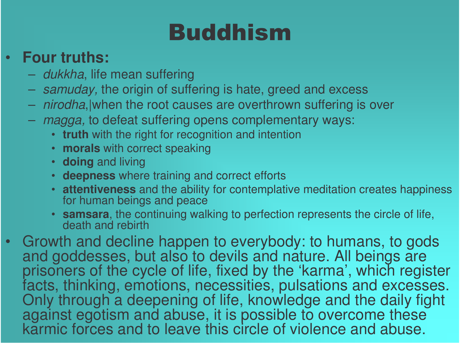## Buddhism

#### •**Four truths:**

- *dukkha*, life mean suffering
- samuday, the origin of suffering is hate, greed and excess
- nirodha, when the root causes are overthrown suffering is over
- *magga,* to defeat suffering opens complementary ways:
	- truth with the right for recognition and intention
	- morals with correct speaking
	- **doing** and living
	- deepness where training and correct efforts
	- **attentiveness** and the ability for contemplative meditation creates happiness for human beings and peace
	- samsara, the continuing walking to perfection represents the circle of life, death and rebirth
- •Growth and decline happen to everybody: to humans, to gods and goddesses, but also to devils and nature. All beings are prisoners of the cycle of life, fixed by the 'karma', which register facts, thinking, emotions, necessities, pulsations and excesses. Only through a deepening of life, knowledge and the daily fight against egotism and abuse, it is possible to overcome these<br>karmic forces and to leave this circle of violence and abuse.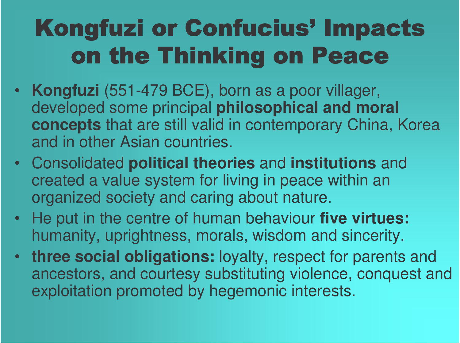# Kongfuzi or Confucius' Impacts on the Thinking on Peace

- **Kongfuzi** (551-479 BCE), born as <sup>a</sup> poor villager, developed some principal **philosophical and moral concepts** that are still valid in contemporary China, Korea and in other Asian countries.
- Consolidated **political theories** and **institutions** and created <sup>a</sup> value system for living in peace within an organized society and caring about nature.
- He put in the centre of human behaviour **five virtues:** humanity, uprightness, morals, wisdom and sincerity.
- **three social obligations:** loyalty, respect for parents and ancestors, and courtesy substituting violence, conquest and exploitation promoted by hegemonic interests.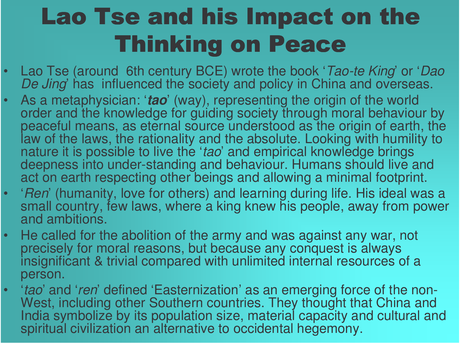## Lao Tse and his Impact on the Thinking on Peace

- •Lao Tse (around 6th century BCE) wrote the book '*Tao-te King*' or '*Dao* De Jing' has influenced the society and policy in China and overseas.
- •As a metaphysician: '*tao*' (way), representing the origin of the world order and the knowledge for guiding society through moral behaviour by peaceful means, as eternal source understood as the origin of earth, the law of the laws, the rationality and the absolute. Looking with humility to nature it is possible to live the '*tao*' and empirical knowledge brings deepness into under-standing and behaviour. Humans should live and act on earth respecting other beings and allowing a minimal footprint.
- •• *'Ren*' (humanity, love for others) and learning during life. His ideal was a small country, few laws, where a king knew his people, away from power and ambitions.
- •He called for the abolition of the army and was against any war, not precisely for moral reasons, but because any conquest is always insignificant & trivial compared with unlimited internal resources of a person.
- •• *'tao*' and '*ren*' defined 'Easternization' as an emerging force of the non-West, including other Southern countries. They thought that China and India symbolize by its population size, material capacity and cultural and spiritual civilization an alternative to occidental hegemony.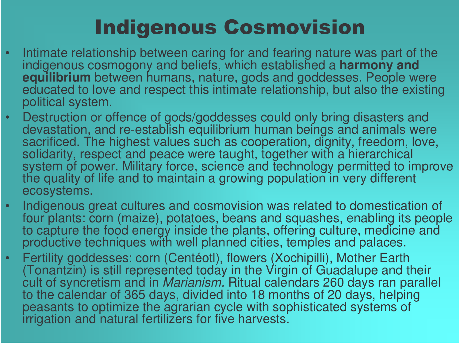### **Indigenous Cosmovision**

- •• Intimate relationship between caring for and fearing nature was part of the indigenous cosmogony and beliefs, which established a **harmony and equilibrium** between humans, nature, gods and goddesses. People were educated to love and respect this intimate relationship, but also the existing political system.
- •Destruction or offence of gods/goddesses could only bring disasters and<br>devastation, and re-establish equilibrium human beings and animals were sacrificed. The highest values such as cooperation, dignity, freedom, love, solidarity, respect and peace were taught, together with a hierarchical system of power. Military force, science and technology permitted to improve the quality of life and to maintain a growing population in very different ecosystems.
- •• Indigenous great cultures and cosmovision was related to domestication of four plants: corn (maize), potatoes, beans and squashes, enabling its people to capture the food energy inside the plants, offering culture, medicine and<br>productive techniques with well planned cities, temples and palaces.
- •Fertility goddesses: corn (Centéotl), flowers (Xochipilli), Mother Earth (Tonantzin) is still represented today in the Virgin of Guadalupe and their cult of syncretism and in *Marianism.* Ritual calendars 260 days ran parallel to the calendar of 365 days, divided into 18 months of 20 days, helping peasants to optimize the agrarian cycle with sophisticated systems of irrigation and natural fertilizers for five harvests.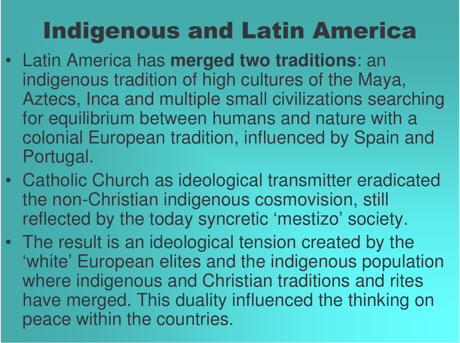## **Indigenous and Latin America**

- Latin America has merged two traditions: an indigenous tradition of high cultures of the Maya, Aztecs, Inca and multiple small civilizations searching for equilibrium between humans and nature with a colonial European tradition, influenced by Spain and Portugal.
- Catholic Church as ideological transmitter eradicated the non -Christian indigenous cosmovision, still reflected by the today syncretic 'mestizo' society.
- The result is an ideological tension created by the 'white' European elites and the indigenous population where indigenous and Christian traditions and rites have merged. This duality influenced the thinking on peace within the countries.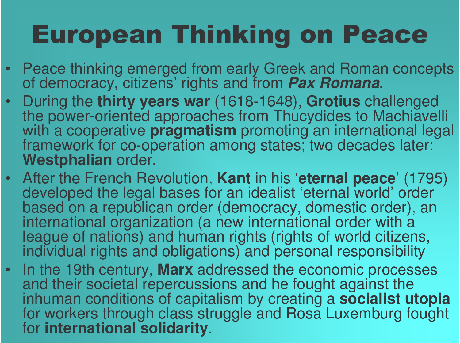# **European Thinking on Peace**

- •Peace thinking emerged from early Greek and Roman concepts of democracy, citizens' rights and from *Pax Romana*.
- •During the thirty years war (1618-1648), Grotius challenged the power-oriented approaches from Thucydides to Machiavelli with a cooperative **pragmatism** promoting an international legal framework for co-operation among states; two decades later: **Westphalian** order.
- After the French Revolution, Kant in his 'eternal peace' (1795) developed the legal bases for an idealist 'eternal world' order based on a republican order (democracy, domestic order), an international organization (a new international order with a league of nations) and human rights (rights of world citizens, individual rights and obligations) and personal responsibility
- •• In the 19th century, Marx addressed the economic processes and their societal repercussions and he fought against the inhuman conditions of capitalism by creating a **socialist utopia** for workers through class struggle and Rosa Luxemburg fought for international solidarity.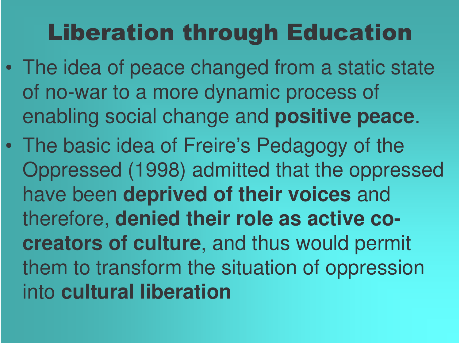## Liberation through Education

- $\bullet$  The idea of peace changed from <sup>a</sup> static state of no-war to <sup>a</sup> more dynamic process of enabling social change and **positive peace**.
- $\bullet$  The basic idea of Freire's Pedagogy of the Oppressed (1998) admitted that the oppressed have been **deprived of their voices** and therefore, **denied their role as active cocreators of culture**, and thus would permit them to transform the situation of oppression into **cultural liberation**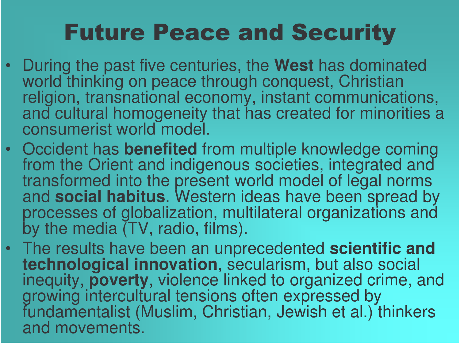## **Future Peace and Security**

- During the past five centuries, the West has dominated world thinking on peace through conquest, Christian religion, transnational economy, instant communications, and cultural homogeneity that has created for minorities a c o ns u me ris t wo rld mo d el.
- Occident has **benefited** from multiple knowledge coming from the Orient and indigenous societies, integrated and transformed into the present world model of legal norms and social habitus. Western ideas have been spread by processes of globalization, multilateral organizations and by the media (TV, radio, films).
- The results have been an unprecedented scientific and **technological innovation**, secularism, but also social inequity, **poverty**, violence linked to organized crime, and growing intercultural tensions often expressed by fundamentalist (Muslim, Christian, Jewish et al.) thinkers and movements.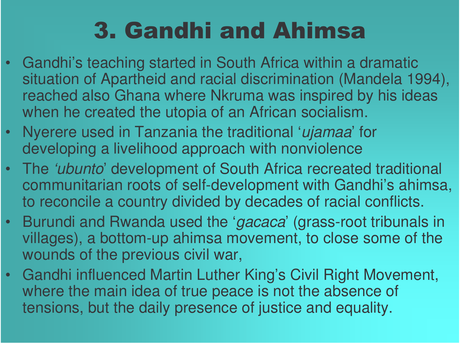## 3. Gandhi and Ahimsa

- Gandhi's teaching started in South Africa within <sup>a</sup> dramatic situation of Apartheid and racial discrimination (Mandela 1994), reached also Ghana where Nkruma was inspired by his ideas when he created the utopia of an African socialism.
- Nyerere used in Tanzania the traditional '*ujamaa*' for developing a livelihood approach with nonviolence
- The *'ubunto*' development of South Africa recreated traditional communitarian roots of self-development with Gandhi's ahimsa, to reconcile <sup>a</sup> country divided by decades of racial conflicts.
- $\bullet$  Burundi and Rwanda used the '*gacaca*' (grass-root tribunals in villages), <sup>a</sup> bottom-up ahimsa movement, to close some of the wounds of the previous civil war,
- Gandhi influenced Martin Luther King's Civil Right Movement, where the main idea of true peace is not the absence of tensions, but the daily presence of justice and equality.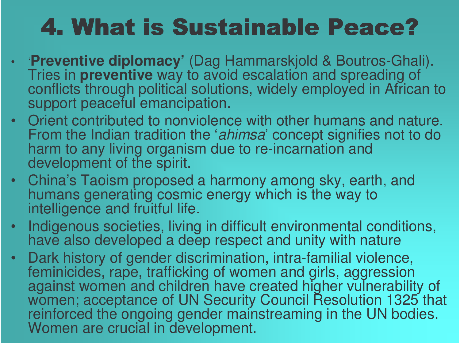## 4. What is Sustainable Peace?

- **Preventive diplomacy'** (Dag Hammarskjold & Boutros-Ghali). Tries in **preventive** way to avoid escalation and spreading of conflicts through political solutions, widely employed in African to support peaceful emancipation.
- Orient contributed to nonviolence with other humans and nature. From the Indian tradition the '*ahimsa*' concept signifies not to do harm to any living organism due to re-incarnation and development of the spirit.
- •China's Taoism proposed a harmony among sky, earth, and<br>humans generating cosmic energy which is the way to intelligence and fruitful life.
- •• Indigenous societies, living in difficult environmental conditions, have also developed a deep respect and unity with nature
- $\bullet$ Dark history of gender discrimination, intra-familial violence, feminicides, rape, trafficking of women and girls, aggression against women and children have created higher vulnerability of women; acceptance of UN Security Council Resolution 1325 that reinforced the ongoing gender mainstreaming in the UN bodies. Women are crucial in development.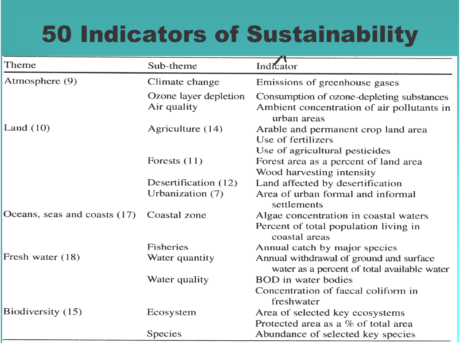## **50 Indicators of Sustainability**

| Theme                        | Sub-theme                            | Indicator                                                                                              |  |  |
|------------------------------|--------------------------------------|--------------------------------------------------------------------------------------------------------|--|--|
| Atmosphere (9)               | Climate change                       | Emissions of greenhouse gases                                                                          |  |  |
|                              | Ozone layer depletion<br>Air quality | Consumption of ozone-depleting substances<br>Ambient concentration of air pollutants in<br>urban areas |  |  |
| Land $(10)$                  | Agriculture (14)                     | Arable and permanent crop land area<br>Use of fertilizers                                              |  |  |
|                              |                                      | Use of agricultural pesticides                                                                         |  |  |
|                              | Forests $(11)$                       | Forest area as a percent of land area                                                                  |  |  |
|                              |                                      | Wood harvesting intensity                                                                              |  |  |
|                              | Desertification (12)                 | Land affected by desertification                                                                       |  |  |
|                              | Urbanization (7)                     | Area of urban formal and informal<br>settlements                                                       |  |  |
| Oceans, seas and coasts (17) | Coastal zone                         | Algae concentration in coastal waters                                                                  |  |  |
|                              |                                      | Percent of total population living in<br>coastal areas                                                 |  |  |
|                              | <b>Fisheries</b>                     | Annual catch by major species                                                                          |  |  |
| Fresh water (18)             | Water quantity                       | Annual withdrawal of ground and surface<br>water as a percent of total available water                 |  |  |
|                              | Water quality                        | <b>BOD</b> in water bodies                                                                             |  |  |
|                              |                                      | Concentration of faecal coliform in<br>freshwater                                                      |  |  |
| Biodiversity (15)            | Ecosystem                            | Area of selected key ecosystems                                                                        |  |  |
|                              |                                      | Protected area as a % of total area                                                                    |  |  |
|                              | <b>Species</b>                       | Abundance of selected key species                                                                      |  |  |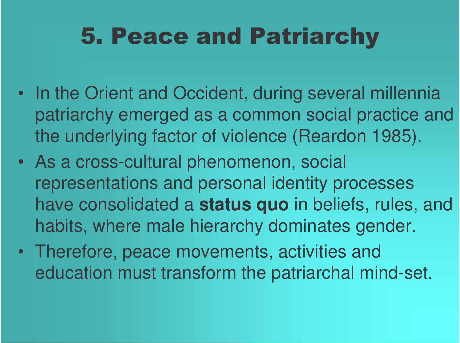## 5. Peace and Patriarchy

- In the Orient and Occident, during several millennia patriarchy emerged as <sup>a</sup> common social practice and the underlying factor of violence (Reardon 1985).
- As <sup>a</sup> cross-cultural phenomenon, social representations and personal identity processes have consolidated <sup>a</sup> **status quo** in beliefs, rules, and habits, where male hierarchy dominates gender.
- Therefore, peace movements, activities and education must transform the patriarchal mind-set.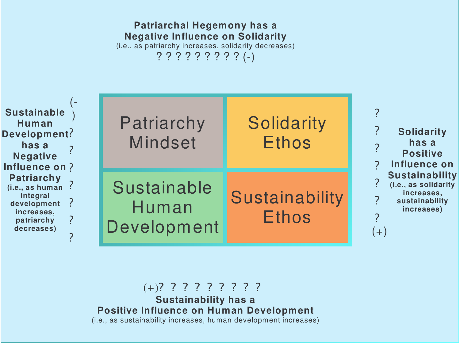

**Patriarchal Hegemony has <sup>a</sup>**

 $(+)$ ? ? ? ? ? ? ? ? ? **Sustainability has <sup>a</sup> Positive Influence on Human Development** (i.e., as sustainability increases, human development increases)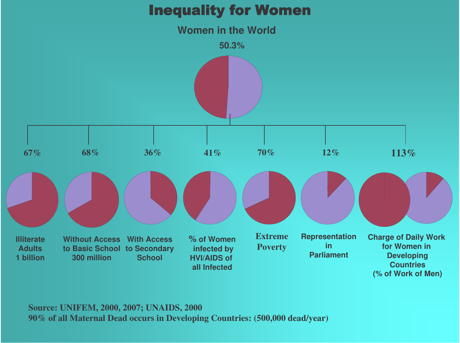

**Source: UNIFEM, 2000, 2007; UNAIDS, 2000 90% of all Maternal Dead occurs in Developing Countries: (500,000 dead/year)**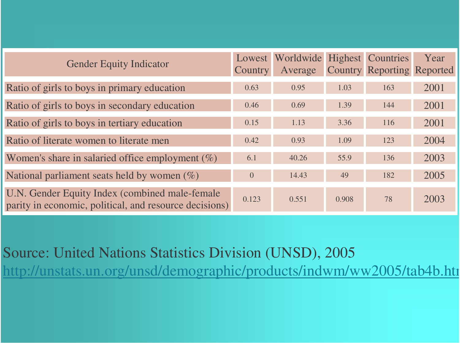| <b>Gender Equity Indicator</b>                                                                            | <b>Country</b> | Lowest Worldwide Highest Countries<br>Average |       | <b>Country Reporting Reported</b> | Year |
|-----------------------------------------------------------------------------------------------------------|----------------|-----------------------------------------------|-------|-----------------------------------|------|
| Ratio of girls to boys in primary education                                                               | 0.63           | 0.95                                          | 1.03  | 163                               | 2001 |
| Ratio of girls to boys in secondary education                                                             | 0.46           | 0.69                                          | 1.39  | 144                               | 2001 |
| Ratio of girls to boys in tertiary education                                                              | 0.15           | 1.13                                          | 3.36  | 116                               | 2001 |
| Ratio of literate women to literate men                                                                   | 0.42           | 0.93                                          | 1.09  | 123                               | 2004 |
| Women's share in salaried office employment $(\%)$                                                        | 6.1            | 40.26                                         | 55.9  | 136                               | 2003 |
| National parliament seats held by women $(\%)$                                                            | $\overline{0}$ | 14.43                                         | 49    | 182                               | 2005 |
| U.N. Gender Equity Index (combined male-female)<br>parity in economic, political, and resource decisions) | 0.123          | 0.551                                         | 0.908 | 78                                | 2003 |

Source: United Nations Statistics Division (UNSD), 2005 http://unstats.un.org/unsd/demographic/products/indwm/ww2005/tab4b.htm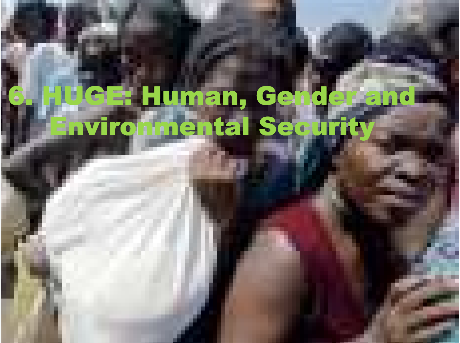# Human, Ge<br>**Imental Se** 76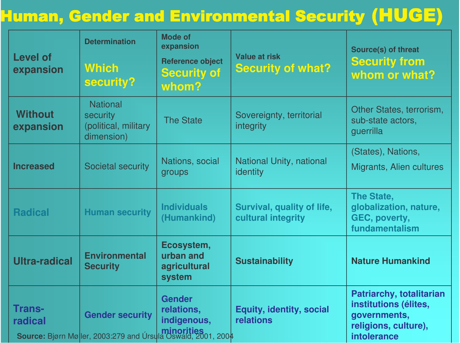#### Human, Gender and Environmental Security (HUCE)

| <b>Level of</b><br>expansion | <b>Determination</b><br><b>Which</b><br>security?                                             | <b>Mode of</b><br>expansion<br><b>Reference object</b><br><b>Security of</b><br>whom? | <b>Value at risk</b><br><b>Security of what?</b> | Source(s) of threat<br><b>Security from</b><br>whom or what?                                             |  |
|------------------------------|-----------------------------------------------------------------------------------------------|---------------------------------------------------------------------------------------|--------------------------------------------------|----------------------------------------------------------------------------------------------------------|--|
| <b>Without</b><br>expansion  | <b>National</b><br>security<br>(political, military<br>dimension)                             | <b>The State</b>                                                                      | Sovereignty, territorial<br>integrity            | Other States, terrorism,<br>sub-state actors,<br>guerrilla                                               |  |
| <b>Increased</b>             | Societal security                                                                             | Nations, social<br>groups                                                             | National Unity, national<br>identity             | (States), Nations,<br>Migrants, Alien cultures                                                           |  |
| <b>Radical</b>               | <b>Human security</b>                                                                         | <b>Individuals</b><br>(Humankind)                                                     | Survival, quality of life,<br>cultural integrity | <b>The State,</b><br>globalization, nature,<br>GEC, poverty,<br>fundamentalism                           |  |
| <b>Ultra-radical</b>         | <b>Environmental</b><br><b>Security</b>                                                       | Ecosystem,<br>urban and<br>agricultural<br>system                                     | <b>Sustainability</b>                            | <b>Nature Humankind</b>                                                                                  |  |
| <b>Trans-</b><br>radical     | <b>Gender security</b><br><b>Source:</b> Bjørn Møller, 2003:279 and Úrsula Oswald, 2001, 2004 | <b>Gender</b><br>relations,<br>indigenous,                                            | <b>Equity, identity, social</b><br>relations     | Patriarchy, totalitarian<br>institutions (élites,<br>governments,<br>religions, culture),<br>intolerance |  |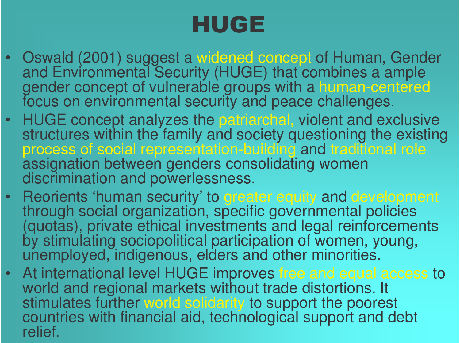## HUGE

- Oswald (2001) suggest a widened concept of Human, Gender and Environmental Security (HUGE) that combines a ample gender concept of vulnerable groups with a human-centered focus on environmental security and peace challenges.
- $\bullet$ HUGE concept analyzes the patriarchal, violent and exclusive structures within the family and society questioning the existing process of social representation-building and traditional role assignation between genders consolidating women discrimination and powerlessness.
- •Reorients 'human security' to greater equity and development through social organization, specific governmental policies (quotas), private ethical investments and legal reinforcements by stimulating sociopolitical participation of women, young, unemployed, indigenous, elders and other minorities.
- •At international level HUGE improves free and equal access to world and regional markets without trade distortions. It stimulates further world solidarity to support the poorest countries with financial aid, technological support and debt relief.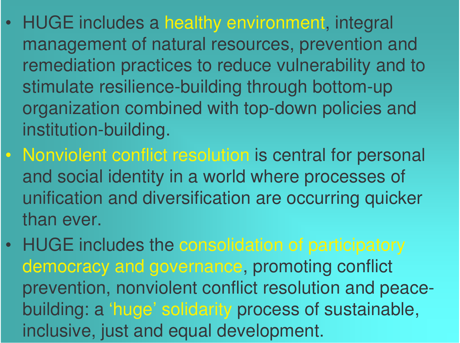- • HUGE includes <sup>a</sup> healthy environment, integral management of natural resources, prevention and remediation practices to reduce vulnerability and to stimulate resilience-building through bottom-up organization combined with top-down policies and institution-building.
- Nonviolent conflict resolution is central for personal and social identity in <sup>a</sup> world where processes of unification and diversification are occurring quicker than ever.
- HUGE includes the consolidation of participatory democracy and governance, promoting conflict prevention, nonviolent conflict resolution and peacebuilding: <sup>a</sup> 'huge' solidarity process of sustainable, inclusive, just and equal development.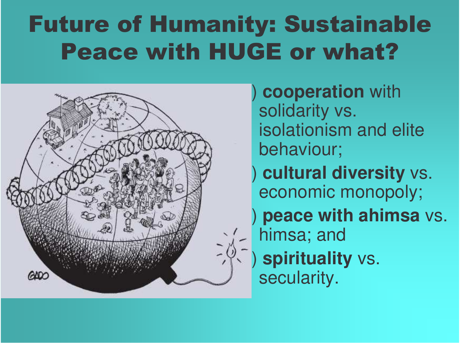## **Future of Humanity: Sustainable Peace with HUGE or what?**



cooperation with solidarity vs. isolationism and elite behaviour; cultural diversity vs. economic monopoly; peace with ahimsa vs. himsa; and spirituality vs. secularity.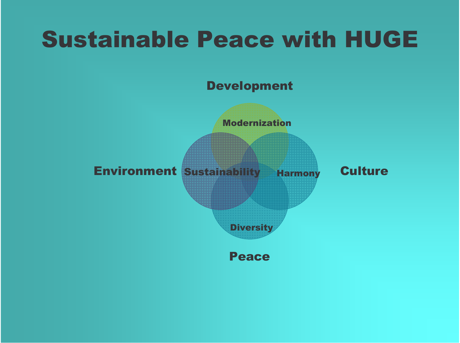## **Sustainable Peace with HUGE**